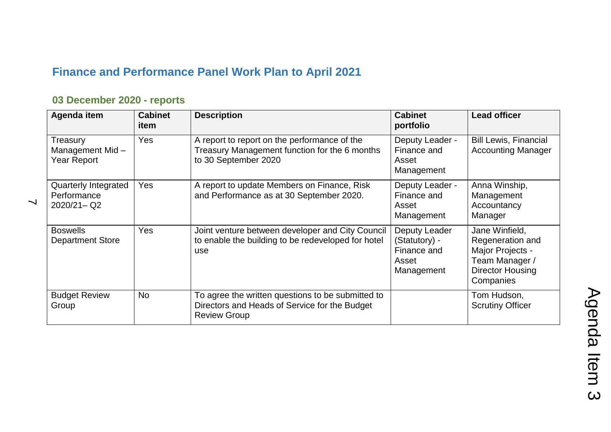## **Finance and Performance Panel Work Plan to April 2021**

## **03 December 2020 - reports**

| Agenda item                                           | <b>Cabinet</b><br>item | <b>Description</b>                                                                                                        | <b>Cabinet</b><br>portfolio                                          | <b>Lead officer</b>                                                                                              |
|-------------------------------------------------------|------------------------|---------------------------------------------------------------------------------------------------------------------------|----------------------------------------------------------------------|------------------------------------------------------------------------------------------------------------------|
| Treasury<br>Management Mid-<br>Year Report            | <b>Yes</b>             | A report to report on the performance of the<br>Treasury Management function for the 6 months<br>to 30 September 2020     | Deputy Leader -<br>Finance and<br>Asset<br>Management                | <b>Bill Lewis, Financial</b><br><b>Accounting Manager</b>                                                        |
| Quarterly Integrated<br>Performance<br>$2020/21 - Q2$ | Yes                    | A report to update Members on Finance, Risk<br>and Performance as at 30 September 2020.                                   | Deputy Leader -<br>Finance and<br>Asset<br>Management                | Anna Winship,<br>Management<br>Accountancy<br>Manager                                                            |
| <b>Boswells</b><br><b>Department Store</b>            | Yes                    | Joint venture between developer and City Council<br>to enable the building to be redeveloped for hotel<br>use             | Deputy Leader<br>(Statutory) -<br>Finance and<br>Asset<br>Management | Jane Winfield,<br>Regeneration and<br>Major Projects -<br>Team Manager /<br><b>Director Housing</b><br>Companies |
| <b>Budget Review</b><br>Group                         | <b>No</b>              | To agree the written questions to be submitted to<br>Directors and Heads of Service for the Budget<br><b>Review Group</b> |                                                                      | Tom Hudson,<br><b>Scrutiny Officer</b>                                                                           |

 $\overline{\phantom{0}}$